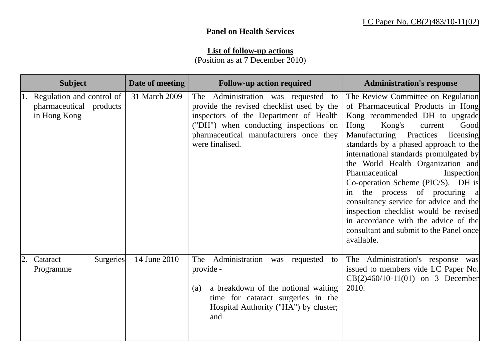## **Panel on Health Services**

## **List of follow-up actions**

(Position as at 7 December 2010)

| <b>Subject</b>                                                       | Date of meeting | <b>Follow-up action required</b>                                                                                                                                                                                                    | <b>Administration's response</b>                                                                                                                                                                                                                                                                                                                                                                                                                                                                                                                                                                           |  |  |  |
|----------------------------------------------------------------------|-----------------|-------------------------------------------------------------------------------------------------------------------------------------------------------------------------------------------------------------------------------------|------------------------------------------------------------------------------------------------------------------------------------------------------------------------------------------------------------------------------------------------------------------------------------------------------------------------------------------------------------------------------------------------------------------------------------------------------------------------------------------------------------------------------------------------------------------------------------------------------------|--|--|--|
| Regulation and control of<br>pharmaceutical products<br>in Hong Kong | 31 March 2009   | The Administration was requested<br>to<br>provide the revised checklist used by the<br>inspectors of the Department of Health<br>("DH") when conducting inspections on<br>pharmaceutical manufacturers once they<br>were finalised. | The Review Committee on Regulation<br>of Pharmaceutical Products in Hong<br>Kong recommended DH to upgrade<br>Kong's<br>Hong<br>current<br>Good<br>Manufacturing Practices<br>licensing<br>standards by a phased approach to the<br>international standards promulgated by<br>the World Health Organization and<br>Pharmaceutical<br>Inspection<br>Co-operation Scheme (PIC/S). DH is<br>in the process of procuring a<br>consultancy service for advice and the<br>inspection checklist would be revised<br>in accordance with the advice of the<br>consultant and submit to the Panel once<br>available. |  |  |  |
| <b>Surgeries</b><br>Cataract<br>Programme                            | 14 June 2010    | Administration<br>The<br>was requested<br>to<br>provide -<br>a breakdown of the notional waiting<br>(a)<br>time for cataract surgeries in the<br>Hospital Authority ("HA") by cluster;<br>and                                       | The Administration's response was<br>issued to members vide LC Paper No.<br>$CB(2)460/10-11(01)$ on 3 December<br>2010.                                                                                                                                                                                                                                                                                                                                                                                                                                                                                    |  |  |  |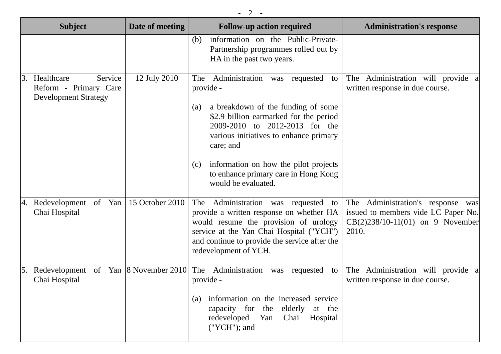| <b>Subject</b>                                                                      | Date of meeting        | <b>Follow-up action required</b>                                                                                                                                                                                                                                                                                                                      | <b>Administration's response</b>                                                                                           |
|-------------------------------------------------------------------------------------|------------------------|-------------------------------------------------------------------------------------------------------------------------------------------------------------------------------------------------------------------------------------------------------------------------------------------------------------------------------------------------------|----------------------------------------------------------------------------------------------------------------------------|
|                                                                                     |                        | information on the Public-Private-<br>(b)<br>Partnership programmes rolled out by<br>HA in the past two years.                                                                                                                                                                                                                                        |                                                                                                                            |
| Healthcare<br>Service<br>3.<br>Reform - Primary Care<br><b>Development Strategy</b> | 12 July 2010           | The Administration<br>was requested<br>to<br>provide -<br>a breakdown of the funding of some<br>(a)<br>\$2.9 billion earmarked for the period<br>2009-2010 to 2012-2013 for the<br>various initiatives to enhance primary<br>care; and<br>information on how the pilot projects<br>(c)<br>to enhance primary care in Hong Kong<br>would be evaluated. | The Administration will provide a<br>written response in due course.                                                       |
| Redevelopment of Yan<br>4.<br>Chai Hospital                                         | 15 October 2010        | Administration was requested to<br>The<br>provide a written response on whether HA<br>would resume the provision of urology<br>service at the Yan Chai Hospital ("YCH")<br>and continue to provide the service after the<br>redevelopment of YCH.                                                                                                     | Administration's response was<br>The<br>issued to members vide LC Paper No.<br>$CB(2)238/10-11(01)$ on 9 November<br>2010. |
| Redevelopment<br>Chai Hospital                                                      | of Yan 8 November 2010 | The Administration<br>requested<br>to<br>was<br>provide -<br>information on the increased service<br>(a)<br>capacity for the elderly at the<br>redeveloped Yan Chai Hospital<br>("YCH"); and                                                                                                                                                          | The Administration will provide<br>written response in due course.                                                         |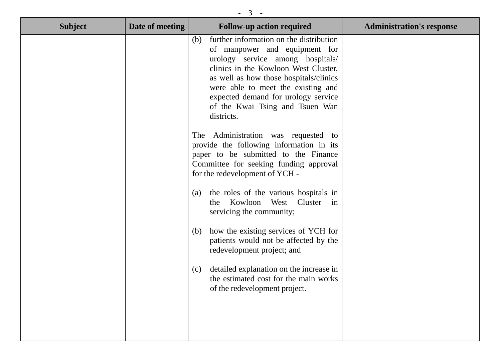| 3              |                 |                                                                                                                                                                                                                                                                                                                                                                                                                                                                                                                                                                                                                                                                                                                                                                                                                                                                                                                |                                  |  |  |  |  |  |  |
|----------------|-----------------|----------------------------------------------------------------------------------------------------------------------------------------------------------------------------------------------------------------------------------------------------------------------------------------------------------------------------------------------------------------------------------------------------------------------------------------------------------------------------------------------------------------------------------------------------------------------------------------------------------------------------------------------------------------------------------------------------------------------------------------------------------------------------------------------------------------------------------------------------------------------------------------------------------------|----------------------------------|--|--|--|--|--|--|
| <b>Subject</b> | Date of meeting | <b>Follow-up action required</b>                                                                                                                                                                                                                                                                                                                                                                                                                                                                                                                                                                                                                                                                                                                                                                                                                                                                               | <b>Administration's response</b> |  |  |  |  |  |  |
|                |                 | further information on the distribution<br>(b)<br>of manpower and equipment for<br>urology service among hospitals/<br>clinics in the Kowloon West Cluster,<br>as well as how those hospitals/clinics<br>were able to meet the existing and<br>expected demand for urology service<br>of the Kwai Tsing and Tsuen Wan<br>districts.<br>The Administration was requested to<br>provide the following information in its<br>paper to be submitted to the Finance<br>Committee for seeking funding approval<br>for the redevelopment of YCH -<br>the roles of the various hospitals in<br>(a)<br>Kowloon West Cluster<br>$\sin$<br>the<br>servicing the community;<br>(b) how the existing services of YCH for<br>patients would not be affected by the<br>redevelopment project; and<br>detailed explanation on the increase in<br>(c)<br>the estimated cost for the main works<br>of the redevelopment project. |                                  |  |  |  |  |  |  |
|                |                 |                                                                                                                                                                                                                                                                                                                                                                                                                                                                                                                                                                                                                                                                                                                                                                                                                                                                                                                |                                  |  |  |  |  |  |  |